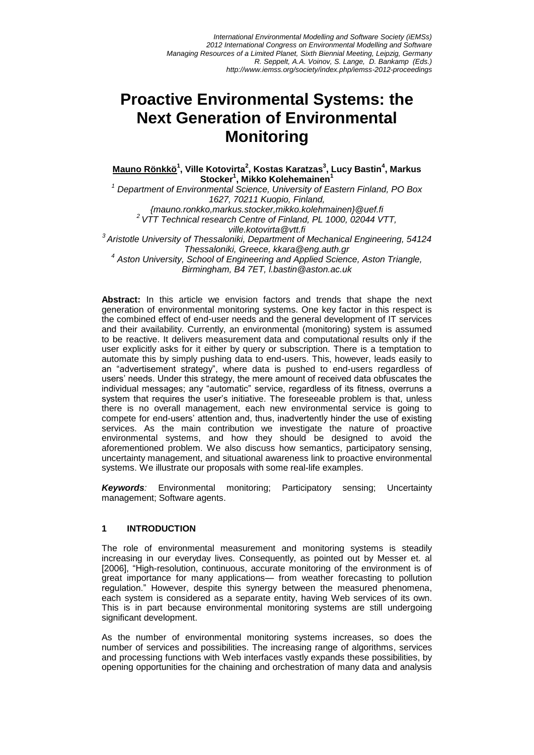*International Environmental Modelling and Software Society (iEMSs) 2012 International Congress on Environmental Modelling and Software Managing Resources of a Limited Planet, Sixth Biennial Meeting, Leipzig, Germany R. Seppelt, A.A. Voinov, S. Lange, D. Bankamp (Eds.) http://www.iemss.org/society/index.php/iemss-2012-proceedings*

# **Proactive Environmental Systems: the Next Generation of Environmental Monitoring**

**Mauno Rönkkö<sup>1</sup> , Ville Kotovirta<sup>2</sup> , Kostas Karatzas<sup>3</sup> , Lucy Bastin<sup>4</sup> , Markus Stocker<sup>1</sup> , Mikko Kolehemainen<sup>1</sup>**

*<sup>1</sup> Department of Environmental Science, University of Eastern Finland, PO Box 1627, 70211 Kuopio, Finland, {mauno.ronkko,markus.stocker,mikko.kolehmainen}@uef.fi <sup>2</sup>VTT Technical research Centre of Finland, PL 1000, 02044 VTT, ville.kotovirta@vtt.fi 3 Aristotle University of Thessaloniki, Department of Mechanical Engineering, 54124 Thessaloniki, Greece, kkara@eng.auth.gr 4 Aston University, School of Engineering and Applied Science, Aston Triangle, Birmingham, B4 7ET, l.bastin@aston.ac.uk*

**Abstract:** In this article we envision factors and trends that shape the next generation of environmental monitoring systems. One key factor in this respect is the combined effect of end-user needs and the general development of IT services and their availability. Currently, an environmental (monitoring) system is assumed to be reactive. It delivers measurement data and computational results only if the user explicitly asks for it either by query or subscription. There is a temptation to automate this by simply pushing data to end-users. This, however, leads easily to an "advertisement strategy", where data is pushed to end-users regardless of users' needs. Under this strategy, the mere amount of received data obfuscates the individual messages; any "automatic" service, regardless of its fitness, overruns a system that requires the user's initiative. The foreseeable problem is that, unless there is no overall management, each new environmental service is going to compete for end-users' attention and, thus, inadvertently hinder the use of existing services. As the main contribution we investigate the nature of proactive environmental systems, and how they should be designed to avoid the aforementioned problem. We also discuss how semantics, participatory sensing, uncertainty management, and situational awareness link to proactive environmental systems. We illustrate our proposals with some real-life examples.

*Keywords:* Environmental monitoring; Participatory sensing; Uncertainty management; Software agents.

#### **1 INTRODUCTION**

The role of environmental measurement and monitoring systems is steadily increasing in our everyday lives. Consequently, as pointed out by Messer et. al [2006], "High-resolution, continuous, accurate monitoring of the environment is of great importance for many applications— from weather forecasting to pollution regulation." However, despite this synergy between the measured phenomena, each system is considered as a separate entity, having Web services of its own. This is in part because environmental monitoring systems are still undergoing significant development.

As the number of environmental monitoring systems increases, so does the number of services and possibilities. The increasing range of algorithms, services and processing functions with Web interfaces vastly expands these possibilities, by opening opportunities for the chaining and orchestration of many data and analysis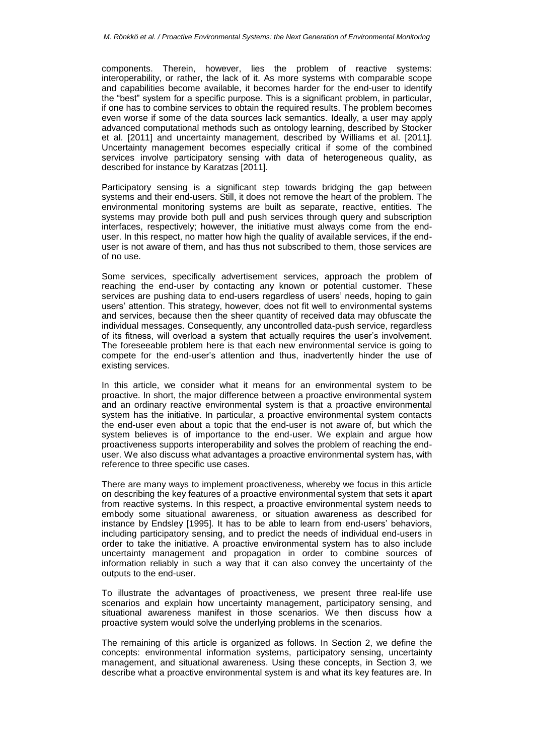components. Therein, however, lies the problem of reactive systems: interoperability, or rather, the lack of it. As more systems with comparable scope and capabilities become available, it becomes harder for the end-user to identify the "best" system for a specific purpose. This is a significant problem, in particular, if one has to combine services to obtain the required results. The problem becomes even worse if some of the data sources lack semantics. Ideally, a user may apply advanced computational methods such as ontology learning, described by Stocker et al. [2011] and uncertainty management, described by Williams et al. [2011]. Uncertainty management becomes especially critical if some of the combined services involve participatory sensing with data of heterogeneous quality, as described for instance by Karatzas [2011].

Participatory sensing is a significant step towards bridging the gap between systems and their end-users. Still, it does not remove the heart of the problem. The environmental monitoring systems are built as separate, reactive, entities. The systems may provide both pull and push services through query and subscription interfaces, respectively; however, the initiative must always come from the enduser. In this respect, no matter how high the quality of available services, if the enduser is not aware of them, and has thus not subscribed to them, those services are of no use.

Some services, specifically advertisement services, approach the problem of reaching the end-user by contacting any known or potential customer. These services are pushing data to end-users regardless of users' needs, hoping to gain users' attention. This strategy, however, does not fit well to environmental systems and services, because then the sheer quantity of received data may obfuscate the individual messages. Consequently, any uncontrolled data-push service, regardless of its fitness, will overload a system that actually requires the user's involvement. The foreseeable problem here is that each new environmental service is going to compete for the end-user's attention and thus, inadvertently hinder the use of existing services.

In this article, we consider what it means for an environmental system to be proactive. In short, the major difference between a proactive environmental system and an ordinary reactive environmental system is that a proactive environmental system has the initiative. In particular, a proactive environmental system contacts the end-user even about a topic that the end-user is not aware of, but which the system believes is of importance to the end-user. We explain and argue how proactiveness supports interoperability and solves the problem of reaching the enduser. We also discuss what advantages a proactive environmental system has, with reference to three specific use cases.

There are many ways to implement proactiveness, whereby we focus in this article on describing the key features of a proactive environmental system that sets it apart from reactive systems. In this respect, a proactive environmental system needs to embody some situational awareness, or situation awareness as described for instance by Endsley [1995]. It has to be able to learn from end-users' behaviors, including participatory sensing, and to predict the needs of individual end-users in order to take the initiative. A proactive environmental system has to also include uncertainty management and propagation in order to combine sources of information reliably in such a way that it can also convey the uncertainty of the outputs to the end-user.

To illustrate the advantages of proactiveness, we present three real-life use scenarios and explain how uncertainty management, participatory sensing, and situational awareness manifest in those scenarios. We then discuss how a proactive system would solve the underlying problems in the scenarios.

The remaining of this article is organized as follows. In Section 2, we define the concepts: environmental information systems, participatory sensing, uncertainty management, and situational awareness. Using these concepts, in Section 3, we describe what a proactive environmental system is and what its key features are. In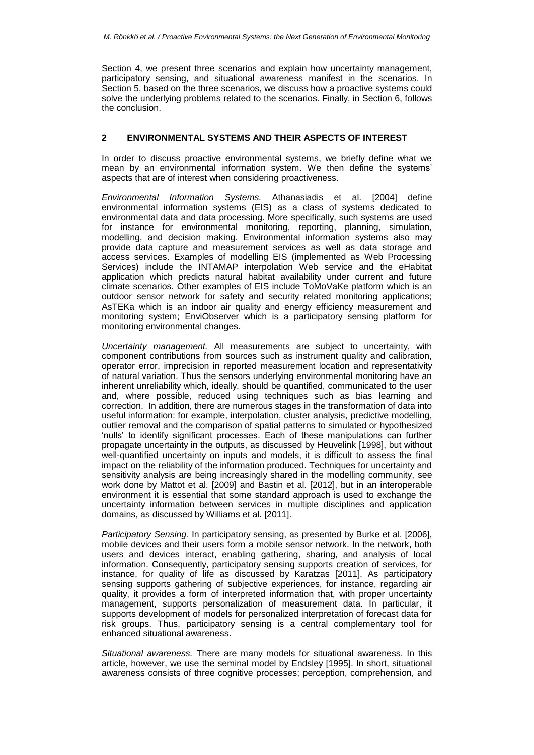Section 4, we present three scenarios and explain how uncertainty management, participatory sensing, and situational awareness manifest in the scenarios. In Section 5, based on the three scenarios, we discuss how a proactive systems could solve the underlying problems related to the scenarios. Finally, in Section 6, follows the conclusion.

### **2 ENVIRONMENTAL SYSTEMS AND THEIR ASPECTS OF INTEREST**

In order to discuss proactive environmental systems, we briefly define what we mean by an environmental information system. We then define the systems' aspects that are of interest when considering proactiveness.

*Environmental Information Systems.* Athanasiadis et al. [2004] define environmental information systems (EIS) as a class of systems dedicated to environmental data and data processing. More specifically, such systems are used for instance for environmental monitoring, reporting, planning, simulation, modelling, and decision making. Environmental information systems also may provide data capture and measurement services as well as data storage and access services. Examples of modelling EIS (implemented as Web Processing Services) include the INTAMAP interpolation Web service and the eHabitat application which predicts natural habitat availability under current and future climate scenarios. Other examples of EIS include ToMoVaKe platform which is an outdoor sensor network for safety and security related monitoring applications; AsTEKa which is an indoor air quality and energy efficiency measurement and monitoring system; EnviObserver which is a participatory sensing platform for monitoring environmental changes.

*Uncertainty management.* All measurements are subject to uncertainty, with component contributions from sources such as instrument quality and calibration, operator error, imprecision in reported measurement location and representativity of natural variation. Thus the sensors underlying environmental monitoring have an inherent unreliability which, ideally, should be quantified, communicated to the user and, where possible, reduced using techniques such as bias learning and correction. In addition, there are numerous stages in the transformation of data into useful information: for example, interpolation, cluster analysis, predictive modelling, outlier removal and the comparison of spatial patterns to simulated or hypothesized 'nulls' to identify significant processes. Each of these manipulations can further propagate uncertainty in the outputs, as discussed by Heuvelink [1998], but without well-quantified uncertainty on inputs and models, it is difficult to assess the final impact on the reliability of the information produced. Techniques for uncertainty and sensitivity analysis are being increasingly shared in the modelling community, see work done by Mattot et al. [2009] and Bastin et al. [2012], but in an interoperable environment it is essential that some standard approach is used to exchange the uncertainty information between services in multiple disciplines and application domains, as discussed by Williams et al. [2011].

*Participatory Sensing.* In participatory sensing, as presented by Burke et al. [2006], mobile devices and their users form a mobile sensor network. In the network, both users and devices interact, enabling gathering, sharing, and analysis of local information. Consequently, participatory sensing supports creation of services, for instance, for quality of life as discussed by Karatzas [2011]. As participatory sensing supports gathering of subjective experiences, for instance, regarding air quality, it provides a form of interpreted information that, with proper uncertainty management, supports personalization of measurement data. In particular, it supports development of models for personalized interpretation of forecast data for risk groups. Thus, participatory sensing is a central complementary tool for enhanced situational awareness.

*Situational awareness.* There are many models for situational awareness. In this article, however, we use the seminal model by Endsley [1995]. In short, situational awareness consists of three cognitive processes; perception, comprehension, and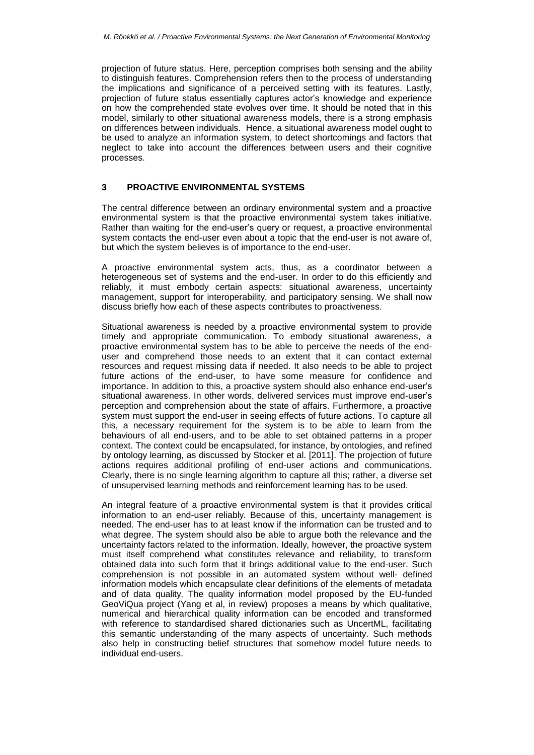projection of future status. Here, perception comprises both sensing and the ability to distinguish features. Comprehension refers then to the process of understanding the implications and significance of a perceived setting with its features. Lastly, projection of future status essentially captures actor's knowledge and experience on how the comprehended state evolves over time. It should be noted that in this model, similarly to other situational awareness models, there is a strong emphasis on differences between individuals. Hence, a situational awareness model ought to be used to analyze an information system, to detect shortcomings and factors that neglect to take into account the differences between users and their cognitive processes.

### **3 PROACTIVE ENVIRONMENTAL SYSTEMS**

The central difference between an ordinary environmental system and a proactive environmental system is that the proactive environmental system takes initiative. Rather than waiting for the end-user's query or request, a proactive environmental system contacts the end-user even about a topic that the end-user is not aware of, but which the system believes is of importance to the end-user.

A proactive environmental system acts, thus, as a coordinator between a heterogeneous set of systems and the end-user. In order to do this efficiently and reliably, it must embody certain aspects: situational awareness, uncertainty management, support for interoperability, and participatory sensing. We shall now discuss briefly how each of these aspects contributes to proactiveness.

Situational awareness is needed by a proactive environmental system to provide timely and appropriate communication. To embody situational awareness, a proactive environmental system has to be able to perceive the needs of the enduser and comprehend those needs to an extent that it can contact external resources and request missing data if needed. It also needs to be able to project future actions of the end-user, to have some measure for confidence and importance. In addition to this, a proactive system should also enhance end-user's situational awareness. In other words, delivered services must improve end-user's perception and comprehension about the state of affairs. Furthermore, a proactive system must support the end-user in seeing effects of future actions. To capture all this, a necessary requirement for the system is to be able to learn from the behaviours of all end-users, and to be able to set obtained patterns in a proper context. The context could be encapsulated, for instance, by ontologies, and refined by ontology learning, as discussed by Stocker et al. [2011]. The projection of future actions requires additional profiling of end-user actions and communications. Clearly, there is no single learning algorithm to capture all this; rather, a diverse set of unsupervised learning methods and reinforcement learning has to be used.

An integral feature of a proactive environmental system is that it provides critical information to an end-user reliably. Because of this, uncertainty management is needed. The end-user has to at least know if the information can be trusted and to what degree. The system should also be able to argue both the relevance and the uncertainty factors related to the information. Ideally, however, the proactive system must itself comprehend what constitutes relevance and reliability, to transform obtained data into such form that it brings additional value to the end-user. Such comprehension is not possible in an automated system without well- defined information models which encapsulate clear definitions of the elements of metadata and of data quality. The quality information model proposed by the EU-funded GeoViQua project (Yang et al, in review) proposes a means by which qualitative, numerical and hierarchical quality information can be encoded and transformed with reference to standardised shared dictionaries such as UncertML, facilitating this semantic understanding of the many aspects of uncertainty. Such methods also help in constructing belief structures that somehow model future needs to individual end-users.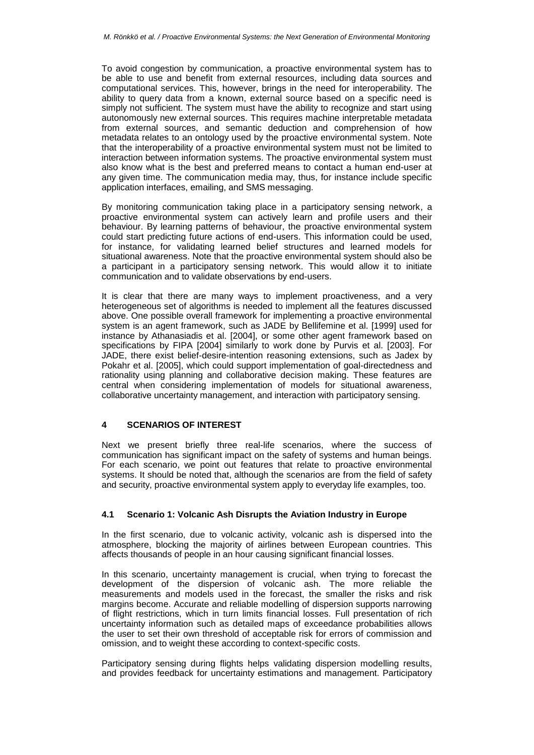To avoid congestion by communication, a proactive environmental system has to be able to use and benefit from external resources, including data sources and computational services. This, however, brings in the need for interoperability. The ability to query data from a known, external source based on a specific need is simply not sufficient. The system must have the ability to recognize and start using autonomously new external sources. This requires machine interpretable metadata from external sources, and semantic deduction and comprehension of how metadata relates to an ontology used by the proactive environmental system. Note that the interoperability of a proactive environmental system must not be limited to interaction between information systems. The proactive environmental system must also know what is the best and preferred means to contact a human end-user at any given time. The communication media may, thus, for instance include specific application interfaces, emailing, and SMS messaging.

By monitoring communication taking place in a participatory sensing network, a proactive environmental system can actively learn and profile users and their behaviour. By learning patterns of behaviour, the proactive environmental system could start predicting future actions of end-users. This information could be used, for instance, for validating learned belief structures and learned models for situational awareness. Note that the proactive environmental system should also be a participant in a participatory sensing network. This would allow it to initiate communication and to validate observations by end-users.

It is clear that there are many ways to implement proactiveness, and a very heterogeneous set of algorithms is needed to implement all the features discussed above. One possible overall framework for implementing a proactive environmental system is an agent framework, such as JADE by Bellifemine et al. [1999] used for instance by Athanasiadis et al. [2004], or some other agent framework based on specifications by FIPA [2004] similarly to work done by Purvis et al. [2003]. For JADE, there exist belief-desire-intention reasoning extensions, such as Jadex by Pokahr et al. [2005], which could support implementation of goal-directedness and rationality using planning and collaborative decision making. These features are central when considering implementation of models for situational awareness, collaborative uncertainty management, and interaction with participatory sensing.

#### **4 SCENARIOS OF INTEREST**

Next we present briefly three real-life scenarios, where the success of communication has significant impact on the safety of systems and human beings. For each scenario, we point out features that relate to proactive environmental systems. It should be noted that, although the scenarios are from the field of safety and security, proactive environmental system apply to everyday life examples, too.

### **4.1 Scenario 1: Volcanic Ash Disrupts the Aviation Industry in Europe**

In the first scenario, due to volcanic activity, volcanic ash is dispersed into the atmosphere, blocking the majority of airlines between European countries. This affects thousands of people in an hour causing significant financial losses.

In this scenario, uncertainty management is crucial, when trying to forecast the development of the dispersion of volcanic ash. The more reliable the measurements and models used in the forecast, the smaller the risks and risk margins become. Accurate and reliable modelling of dispersion supports narrowing of flight restrictions, which in turn limits financial losses. Full presentation of rich uncertainty information such as detailed maps of exceedance probabilities allows the user to set their own threshold of acceptable risk for errors of commission and omission, and to weight these according to context-specific costs.

Participatory sensing during flights helps validating dispersion modelling results, and provides feedback for uncertainty estimations and management. Participatory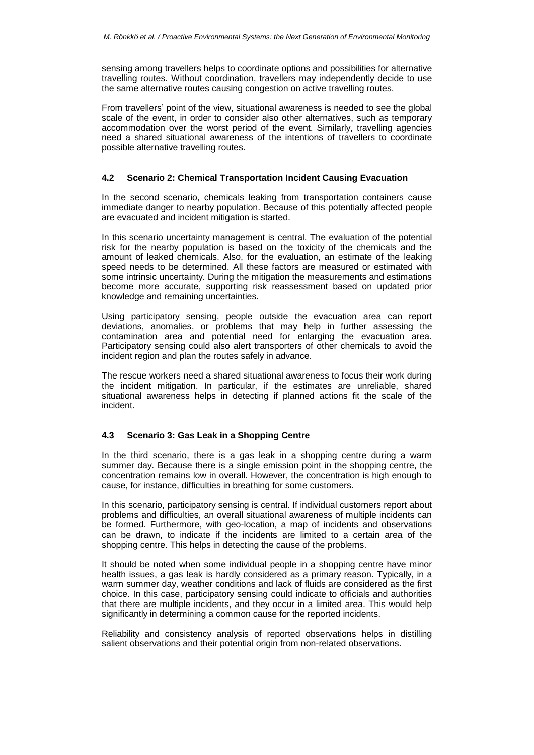sensing among travellers helps to coordinate options and possibilities for alternative travelling routes. Without coordination, travellers may independently decide to use the same alternative routes causing congestion on active travelling routes.

From travellers' point of the view, situational awareness is needed to see the global scale of the event, in order to consider also other alternatives, such as temporary accommodation over the worst period of the event. Similarly, travelling agencies need a shared situational awareness of the intentions of travellers to coordinate possible alternative travelling routes.

### **4.2 Scenario 2: Chemical Transportation Incident Causing Evacuation**

In the second scenario, chemicals leaking from transportation containers cause immediate danger to nearby population. Because of this potentially affected people are evacuated and incident mitigation is started.

In this scenario uncertainty management is central. The evaluation of the potential risk for the nearby population is based on the toxicity of the chemicals and the amount of leaked chemicals. Also, for the evaluation, an estimate of the leaking speed needs to be determined. All these factors are measured or estimated with some intrinsic uncertainty. During the mitigation the measurements and estimations become more accurate, supporting risk reassessment based on updated prior knowledge and remaining uncertainties.

Using participatory sensing, people outside the evacuation area can report deviations, anomalies, or problems that may help in further assessing the contamination area and potential need for enlarging the evacuation area. Participatory sensing could also alert transporters of other chemicals to avoid the incident region and plan the routes safely in advance.

The rescue workers need a shared situational awareness to focus their work during the incident mitigation. In particular, if the estimates are unreliable, shared situational awareness helps in detecting if planned actions fit the scale of the incident.

## **4.3 Scenario 3: Gas Leak in a Shopping Centre**

In the third scenario, there is a gas leak in a shopping centre during a warm summer day. Because there is a single emission point in the shopping centre, the concentration remains low in overall. However, the concentration is high enough to cause, for instance, difficulties in breathing for some customers.

In this scenario, participatory sensing is central. If individual customers report about problems and difficulties, an overall situational awareness of multiple incidents can be formed. Furthermore, with geo-location, a map of incidents and observations can be drawn, to indicate if the incidents are limited to a certain area of the shopping centre. This helps in detecting the cause of the problems.

It should be noted when some individual people in a shopping centre have minor health issues, a gas leak is hardly considered as a primary reason. Typically, in a warm summer day, weather conditions and lack of fluids are considered as the first choice. In this case, participatory sensing could indicate to officials and authorities that there are multiple incidents, and they occur in a limited area. This would help significantly in determining a common cause for the reported incidents.

Reliability and consistency analysis of reported observations helps in distilling salient observations and their potential origin from non-related observations.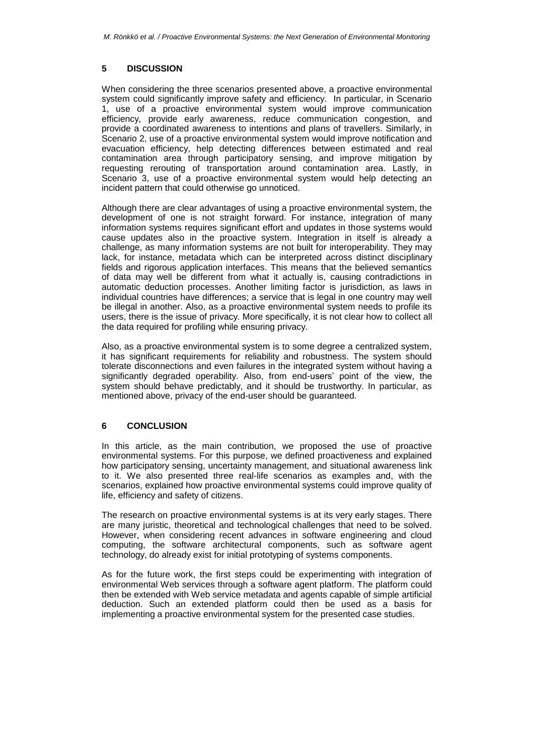## **5 DISCUSSION**

When considering the three scenarios presented above, a proactive environmental system could significantly improve safety and efficiency. In particular, in Scenario 1, use of a proactive environmental system would improve communication efficiency, provide early awareness, reduce communication congestion, and provide a coordinated awareness to intentions and plans of travellers. Similarly, in Scenario 2, use of a proactive environmental system would improve notification and evacuation efficiency, help detecting differences between estimated and real contamination area through participatory sensing, and improve mitigation by requesting rerouting of transportation around contamination area. Lastly, in Scenario 3, use of a proactive environmental system would help detecting an incident pattern that could otherwise go unnoticed.

Although there are clear advantages of using a proactive environmental system, the development of one is not straight forward. For instance, integration of many information systems requires significant effort and updates in those systems would cause updates also in the proactive system. Integration in itself is already a challenge, as many information systems are not built for interoperability. They may lack, for instance, metadata which can be interpreted across distinct disciplinary fields and rigorous application interfaces. This means that the believed semantics of data may well be different from what it actually is, causing contradictions in automatic deduction processes. Another limiting factor is jurisdiction, as laws in individual countries have differences; a service that is legal in one country may well be illegal in another. Also, as a proactive environmental system needs to profile its users, there is the issue of privacy. More specifically, it is not clear how to collect all the data required for profiling while ensuring privacy.

Also, as a proactive environmental system is to some degree a centralized system, it has significant requirements for reliability and robustness. The system should tolerate disconnections and even failures in the integrated system without having a significantly degraded operability. Also, from end-users' point of the view, the system should behave predictably, and it should be trustworthy. In particular, as mentioned above, privacy of the end-user should be guaranteed.

## **6 CONCLUSION**

In this article, as the main contribution, we proposed the use of proactive environmental systems. For this purpose, we defined proactiveness and explained how participatory sensing, uncertainty management, and situational awareness link to it. We also presented three real-life scenarios as examples and, with the scenarios, explained how proactive environmental systems could improve quality of life, efficiency and safety of citizens.

The research on proactive environmental systems is at its very early stages. There are many juristic, theoretical and technological challenges that need to be solved. However, when considering recent advances in software engineering and cloud computing, the software architectural components, such as software agent technology, do already exist for initial prototyping of systems components.

As for the future work, the first steps could be experimenting with integration of environmental Web services through a software agent platform. The platform could then be extended with Web service metadata and agents capable of simple artificial deduction. Such an extended platform could then be used as a basis for implementing a proactive environmental system for the presented case studies.